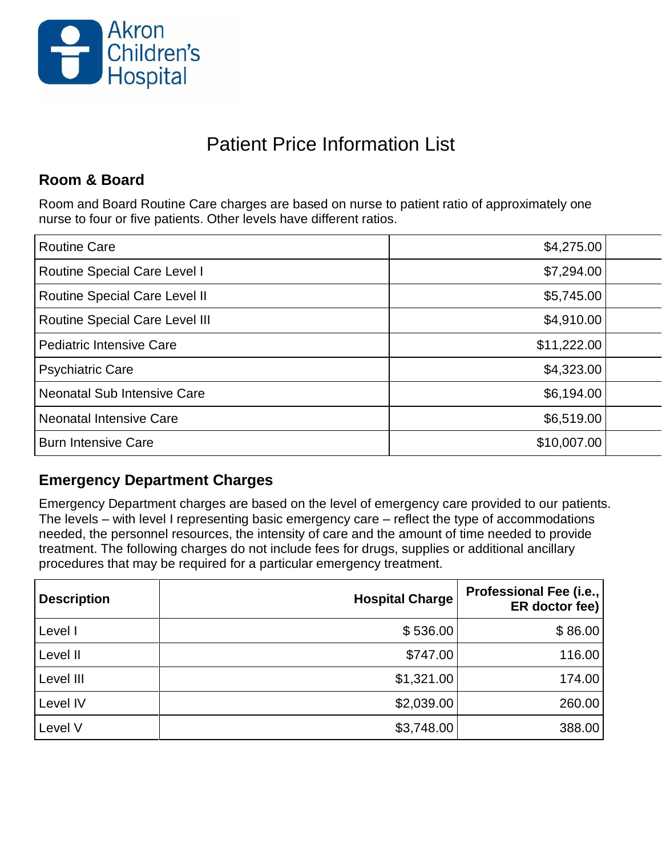

# Patient Price Information List

#### **Room & Board**

Room and Board Routine Care charges are based on nurse to patient ratio of approximately one nurse to four or five patients. Other levels have different ratios.

| \$7,294.00<br><b>Routine Special Care Level I</b><br>\$5,745.00<br><b>Routine Special Care Level II</b><br><b>Routine Special Care Level III</b><br>\$4,910.00<br>\$11,222.00<br>Pediatric Intensive Care |
|-----------------------------------------------------------------------------------------------------------------------------------------------------------------------------------------------------------|
|                                                                                                                                                                                                           |
|                                                                                                                                                                                                           |
|                                                                                                                                                                                                           |
|                                                                                                                                                                                                           |
| \$4,323.00<br><b>Psychiatric Care</b>                                                                                                                                                                     |
| \$6,194.00<br>Neonatal Sub Intensive Care                                                                                                                                                                 |
| \$6,519.00<br>Neonatal Intensive Care                                                                                                                                                                     |
| \$10,007.00<br><b>Burn Intensive Care</b>                                                                                                                                                                 |

#### **Emergency Department Charges**

Emergency Department charges are based on the level of emergency care provided to our patients. The levels – with level I representing basic emergency care – reflect the type of accommodations needed, the personnel resources, the intensity of care and the amount of time needed to provide treatment. The following charges do not include fees for drugs, supplies or additional ancillary procedures that may be required for a particular emergency treatment.

| <b>Description</b> | <b>Hospital Charge</b> | Professional Fee (i.e.,<br>ER doctor fee) |
|--------------------|------------------------|-------------------------------------------|
| Level I            | \$536.00               | \$86.00                                   |
| Level II           | \$747.00               | 116.00                                    |
| Level III          | \$1,321.00             | 174.00                                    |
| Level IV           | \$2,039.00             | 260.00                                    |
| Level V            | \$3,748.00             | 388.00                                    |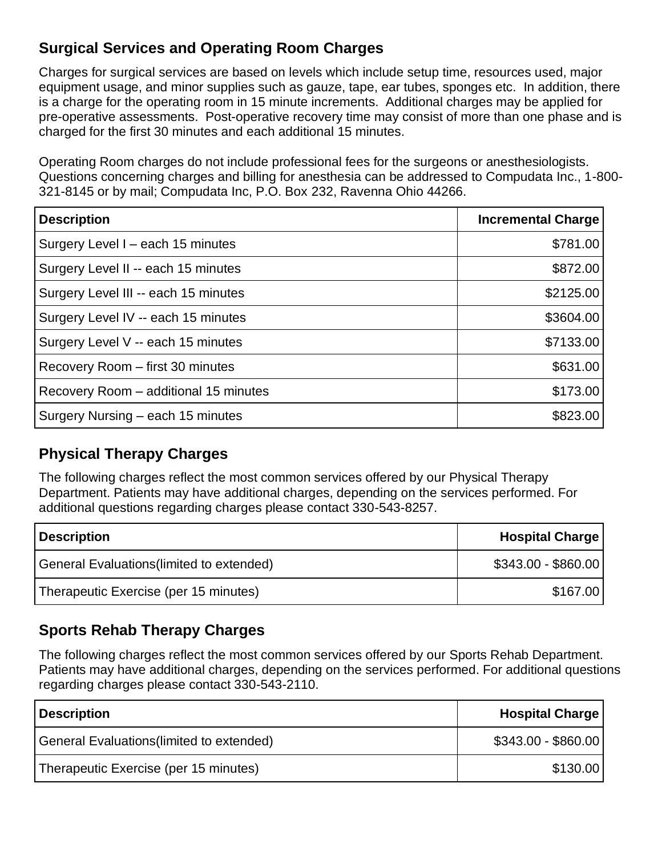## **Surgical Services and Operating Room Charges**

Charges for surgical services are based on levels which include setup time, resources used, major equipment usage, and minor supplies such as gauze, tape, ear tubes, sponges etc. In addition, there is a charge for the operating room in 15 minute increments. Additional charges may be applied for pre-operative assessments. Post-operative recovery time may consist of more than one phase and is charged for the first 30 minutes and each additional 15 minutes.

Operating Room charges do not include professional fees for the surgeons or anesthesiologists. Questions concerning charges and billing for anesthesia can be addressed to Compudata Inc., 1-800- 321-8145 or by mail; Compudata Inc, P.O. Box 232, Ravenna Ohio 44266.

| <b>Description</b>                    | <b>Incremental Charge</b> |
|---------------------------------------|---------------------------|
| Surgery Level I - each 15 minutes     | \$781.00                  |
| Surgery Level II -- each 15 minutes   | \$872.00                  |
| Surgery Level III -- each 15 minutes  | \$2125.00                 |
| Surgery Level IV -- each 15 minutes   | \$3604.00                 |
| Surgery Level V -- each 15 minutes    | \$7133.00                 |
| Recovery Room - first 30 minutes      | \$631.00                  |
| Recovery Room - additional 15 minutes | \$173.00                  |
| Surgery Nursing - each 15 minutes     | \$823.00                  |

#### **Physical Therapy Charges**

The following charges reflect the most common services offered by our Physical Therapy Department. Patients may have additional charges, depending on the services performed. For additional questions regarding charges please contact 330-543-8257.

| <b>Description</b>                        | <b>Hospital Charge</b> |
|-------------------------------------------|------------------------|
| General Evaluations (limited to extended) | $$343.00 - $860.00$    |
| Therapeutic Exercise (per 15 minutes)     | \$167.00               |

#### **Sports Rehab Therapy Charges**

The following charges reflect the most common services offered by our Sports Rehab Department. Patients may have additional charges, depending on the services performed. For additional questions regarding charges please contact 330-543-2110.

| <b>Description</b>                        | <b>Hospital Charge</b> |
|-------------------------------------------|------------------------|
| General Evaluations (limited to extended) | $$343.00 - $860.00$    |
| Therapeutic Exercise (per 15 minutes)     | \$130.00               |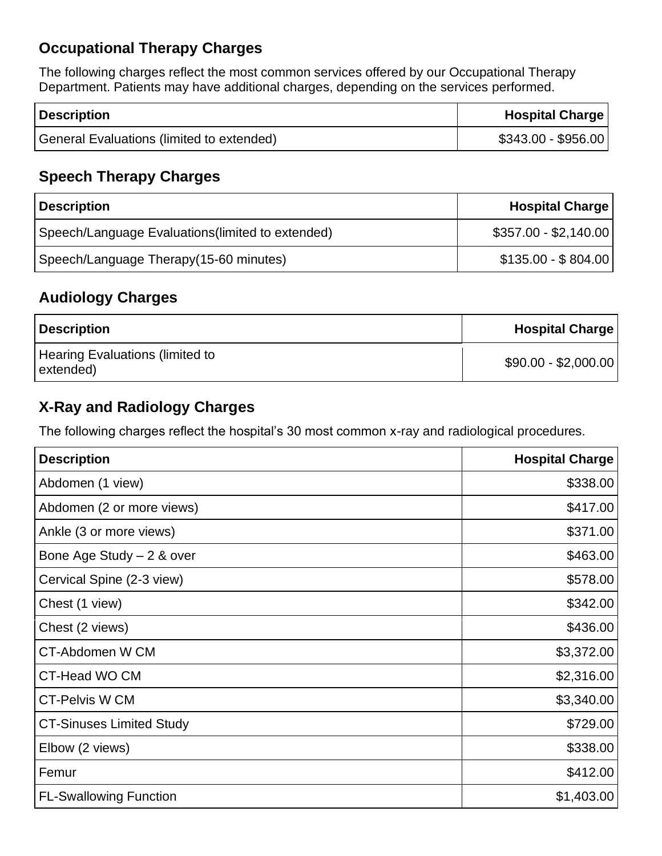# **Occupational Therapy Charges**

The following charges reflect the most common services offered by our Occupational Therapy Department. Patients may have additional charges, depending on the services performed.

| <b>Description</b>                        | <b>Hospital Charge</b> |
|-------------------------------------------|------------------------|
| General Evaluations (limited to extended) | $$343.00 - $956.00$    |

## **Speech Therapy Charges**

| <b>Description</b>                                | <b>Hospital Charge</b> |
|---------------------------------------------------|------------------------|
| Speech/Language Evaluations (limited to extended) | $$357.00 - $2,140.00$  |
| Speech/Language Therapy(15-60 minutes)            | $$135.00 - $804.00$    |

#### **Audiology Charges**

| <b>Description</b>                                  | <b>Hospital Charge</b> |
|-----------------------------------------------------|------------------------|
| <b>Hearing Evaluations (limited to</b><br>extended) | $$90.00 - $2,000.00$   |

#### **X-Ray and Radiology Charges**

The following charges reflect the hospital's 30 most common x-ray and radiological procedures.

| <b>Description</b>              | <b>Hospital Charge</b> |
|---------------------------------|------------------------|
| Abdomen (1 view)                | \$338.00               |
| Abdomen (2 or more views)       | \$417.00               |
| Ankle (3 or more views)         | \$371.00               |
| Bone Age Study $-2$ & over      | \$463.00               |
| Cervical Spine (2-3 view)       | \$578.00               |
| Chest (1 view)                  | \$342.00               |
| Chest (2 views)                 | \$436.00               |
| <b>CT-Abdomen W CM</b>          | \$3,372.00             |
| CT-Head WO CM                   | \$2,316.00             |
| <b>CT-Pelvis W CM</b>           | \$3,340.00             |
| <b>CT-Sinuses Limited Study</b> | \$729.00               |
| Elbow (2 views)                 | \$338.00               |
| Femur                           | \$412.00               |
| <b>FL-Swallowing Function</b>   | \$1,403.00             |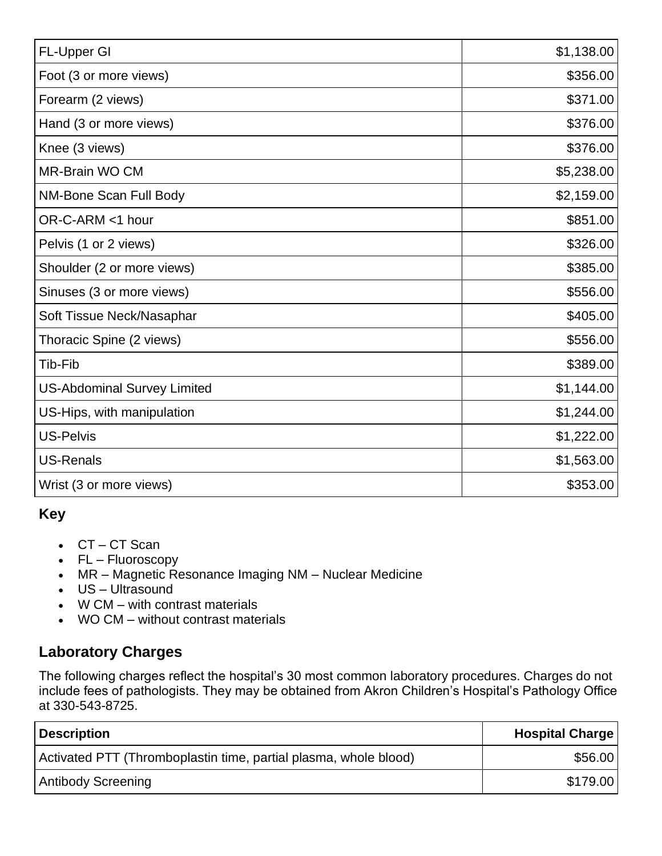| FL-Upper GI                        | \$1,138.00 |
|------------------------------------|------------|
| Foot (3 or more views)             | \$356.00   |
| Forearm (2 views)                  | \$371.00   |
| Hand (3 or more views)             | \$376.00   |
| Knee (3 views)                     | \$376.00   |
| <b>MR-Brain WO CM</b>              | \$5,238.00 |
| NM-Bone Scan Full Body             | \$2,159.00 |
| OR-C-ARM <1 hour                   | \$851.00   |
| Pelvis (1 or 2 views)              | \$326.00   |
| Shoulder (2 or more views)         | \$385.00   |
| Sinuses (3 or more views)          | \$556.00   |
| Soft Tissue Neck/Nasaphar          | \$405.00   |
| Thoracic Spine (2 views)           | \$556.00   |
| Tib-Fib                            | \$389.00   |
| <b>US-Abdominal Survey Limited</b> | \$1,144.00 |
| US-Hips, with manipulation         | \$1,244.00 |
| <b>US-Pelvis</b>                   | \$1,222.00 |
| <b>US-Renals</b>                   | \$1,563.00 |
| Wrist (3 or more views)            | \$353.00   |

# **Key**

- CT CT Scan
- FL Fluoroscopy
- MR Magnetic Resonance Imaging NM Nuclear Medicine
- US Ultrasound
- W CM with contrast materials
- WO CM without contrast materials

## **Laboratory Charges**

The following charges reflect the hospital's 30 most common laboratory procedures. Charges do not include fees of pathologists. They may be obtained from Akron Children's Hospital's Pathology Office at 330-543-8725.

| <b>Description</b>                                               | <b>Hospital Charge</b> |
|------------------------------------------------------------------|------------------------|
| Activated PTT (Thromboplastin time, partial plasma, whole blood) | \$56.00                |
| <b>Antibody Screening</b>                                        | \$179.00               |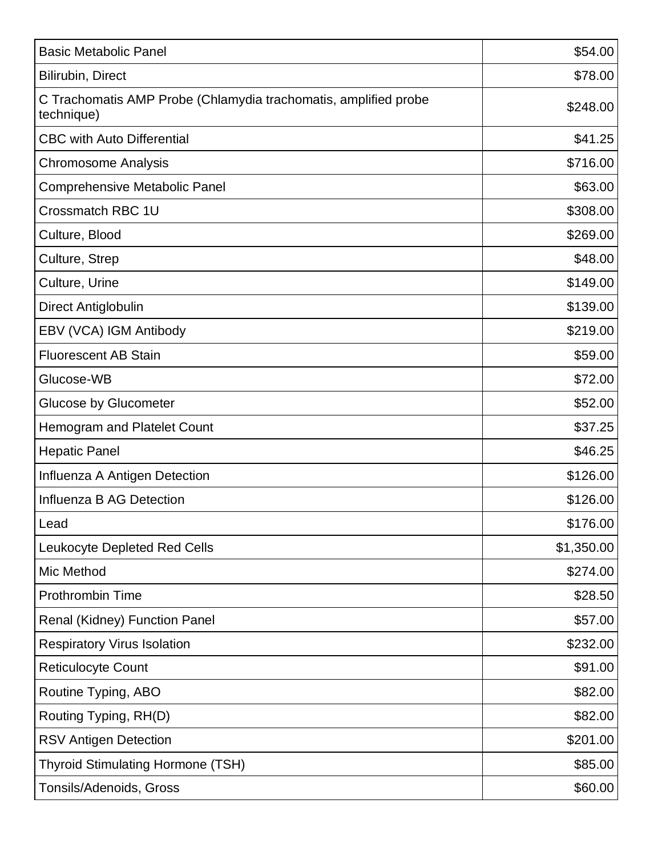| <b>Basic Metabolic Panel</b>                                                  | \$54.00    |
|-------------------------------------------------------------------------------|------------|
| Bilirubin, Direct                                                             | \$78.00    |
| C Trachomatis AMP Probe (Chlamydia trachomatis, amplified probe<br>technique) | \$248.00   |
| <b>CBC with Auto Differential</b>                                             | \$41.25    |
| <b>Chromosome Analysis</b>                                                    | \$716.00   |
| <b>Comprehensive Metabolic Panel</b>                                          | \$63.00    |
| Crossmatch RBC 1U                                                             | \$308.00   |
| Culture, Blood                                                                | \$269.00   |
| Culture, Strep                                                                | \$48.00    |
| Culture, Urine                                                                | \$149.00   |
| Direct Antiglobulin                                                           | \$139.00   |
| EBV (VCA) IGM Antibody                                                        | \$219.00   |
| <b>Fluorescent AB Stain</b>                                                   | \$59.00    |
| Glucose-WB                                                                    | \$72.00    |
| <b>Glucose by Glucometer</b>                                                  | \$52.00    |
| <b>Hemogram and Platelet Count</b>                                            | \$37.25    |
| <b>Hepatic Panel</b>                                                          | \$46.25    |
| Influenza A Antigen Detection                                                 | \$126.00   |
| Influenza B AG Detection                                                      | \$126.00   |
| Lead                                                                          | \$176.00   |
| <b>Leukocyte Depleted Red Cells</b>                                           | \$1,350.00 |
| Mic Method                                                                    | \$274.00   |
| <b>Prothrombin Time</b>                                                       | \$28.50    |
| Renal (Kidney) Function Panel                                                 | \$57.00    |
| <b>Respiratory Virus Isolation</b>                                            | \$232.00   |
| <b>Reticulocyte Count</b>                                                     | \$91.00    |
| Routine Typing, ABO                                                           | \$82.00    |
| Routing Typing, RH(D)                                                         | \$82.00    |
| <b>RSV Antigen Detection</b>                                                  | \$201.00   |
| <b>Thyroid Stimulating Hormone (TSH)</b>                                      | \$85.00    |
| <b>Tonsils/Adenoids, Gross</b>                                                | \$60.00    |